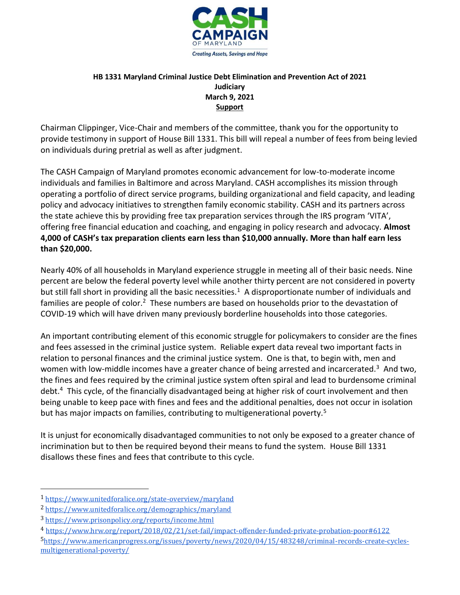

## **HB 1331 Maryland Criminal Justice Debt Elimination and Prevention Act of 2021 Judiciary March 9, 2021 Support**

Chairman Clippinger, Vice-Chair and members of the committee, thank you for the opportunity to provide testimony in support of House Bill 1331. This bill will repeal a number of fees from being levied on individuals during pretrial as well as after judgment.

The CASH Campaign of Maryland promotes economic advancement for low-to-moderate income individuals and families in Baltimore and across Maryland. CASH accomplishes its mission through operating a portfolio of direct service programs, building organizational and field capacity, and leading policy and advocacy initiatives to strengthen family economic stability. CASH and its partners across the state achieve this by providing free tax preparation services through the IRS program 'VITA', offering free financial education and coaching, and engaging in policy research and advocacy. **Almost 4,000 of CASH's tax preparation clients earn less than \$10,000 annually. More than half earn less than \$20,000.** 

Nearly 40% of all households in Maryland experience struggle in meeting all of their basic needs. Nine percent are below the federal poverty level while another thirty percent are not considered in poverty but still fall short in providing all the basic necessities.<sup>1</sup> A disproportionate number of individuals and families are people of color.<sup>2</sup> These numbers are based on households prior to the devastation of COVID-19 which will have driven many previously borderline households into those categories.

An important contributing element of this economic struggle for policymakers to consider are the fines and fees assessed in the criminal justice system. Reliable expert data reveal two important facts in relation to personal finances and the criminal justice system. One is that, to begin with, men and women with low-middle incomes have a greater chance of being arrested and incarcerated.<sup>3</sup> And two, the fines and fees required by the criminal justice system often spiral and lead to burdensome criminal debt.<sup>4</sup> This cycle, of the financially disadvantaged being at higher risk of court involvement and then being unable to keep pace with fines and fees and the additional penalties, does not occur in isolation but has major impacts on families, contributing to multigenerational poverty.<sup>5</sup>

It is unjust for economically disadvantaged communities to not only be exposed to a greater chance of incrimination but to then be required beyond their means to fund the system. House Bill 1331 disallows these fines and fees that contribute to this cycle.

 $\overline{a}$ 

<sup>1</sup> <https://www.unitedforalice.org/state-overview/maryland>

<sup>2</sup> <https://www.unitedforalice.org/demographics/maryland>

<sup>3</sup> <https://www.prisonpolicy.org/reports/income.html>

<sup>4</sup> <https://www.hrw.org/report/2018/02/21/set-fail/impact-offender-funded-private-probation-poor#6122>

<sup>5</sup>[https://www.americanprogress.org/issues/poverty/news/2020/04/15/483248/criminal-records-create-cycles](https://www.americanprogress.org/issues/poverty/news/2020/04/15/483248/criminal-records-create-cycles-multigenerational-poverty/)[multigenerational-poverty/](https://www.americanprogress.org/issues/poverty/news/2020/04/15/483248/criminal-records-create-cycles-multigenerational-poverty/)